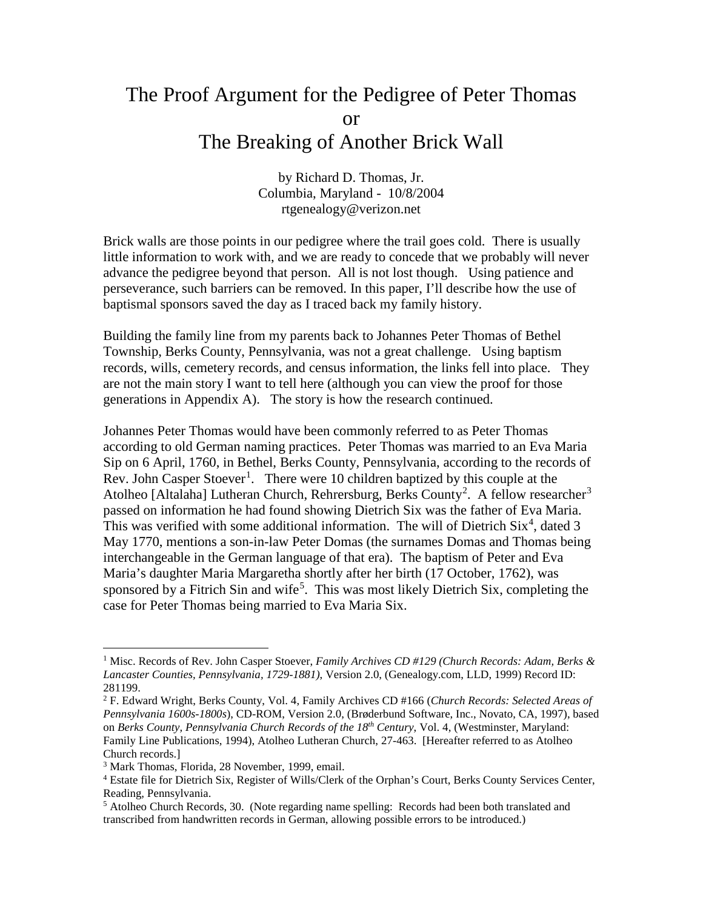## The Proof Argument for the Pedigree of Peter Thomas or The Breaking of Another Brick Wall

by Richard D. Thomas, Jr. Columbia, Maryland - 10/8/2004 rtgenealogy@verizon.net

Brick walls are those points in our pedigree where the trail goes cold. There is usually little information to work with, and we are ready to concede that we probably will never advance the pedigree beyond that person. All is not lost though. Using patience and perseverance, such barriers can be removed. In this paper, I'll describe how the use of baptismal sponsors saved the day as I traced back my family history.

Building the family line from my parents back to Johannes Peter Thomas of Bethel Township, Berks County, Pennsylvania, was not a great challenge. Using baptism records, wills, cemetery records, and census information, the links fell into place. They are not the main story I want to tell here (although you can view the proof for those generations in Appendix A). The story is how the research continued.

Johannes Peter Thomas would have been commonly referred to as Peter Thomas according to old German naming practices. Peter Thomas was married to an Eva Maria Sip on 6 April, 1760, in Bethel, Berks County, Pennsylvania, according to the records of Rev. John Casper Stoever<sup>[1](#page-0-0)</sup>. There were 10 children baptized by this couple at the Atolheo [Altalaha] Lutheran Church, Rehrersburg, Berks County<sup>[2](#page-0-1)</sup>. A fellow researcher<sup>[3](#page-0-2)</sup> passed on information he had found showing Dietrich Six was the father of Eva Maria. This was verified with some additional information. The will of Dietrich  $\text{Six}^4$  $\text{Six}^4$ , dated 3 May 1770, mentions a son-in-law Peter Domas (the surnames Domas and Thomas being interchangeable in the German language of that era). The baptism of Peter and Eva Maria's daughter Maria Margaretha shortly after her birth (17 October, 1762), was sponsored by a Fitrich Sin and wife<sup>[5](#page-0-4)</sup>. This was most likely Dietrich Six, completing the case for Peter Thomas being married to Eva Maria Six.

<span id="page-0-0"></span><sup>1</sup> Misc. Records of Rev. John Casper Stoever, *Family Archives CD #129 (Church Records: Adam, Berks & Lancaster Counties, Pennsylvania, 1729-1881)*, Version 2.0, (Genealogy.com, LLD, 1999) Record ID: 281199.

<span id="page-0-1"></span><sup>2</sup> F. Edward Wright, Berks County, Vol. 4, Family Archives CD #166 (*Church Records: Selected Areas of Pennsylvania 1600s-1800s*), CD-ROM, Version 2.0, (Brøderbund Software, Inc., Novato, CA, 1997), based on *Berks County, Pennsylvania Church Records of the 18th Century*, Vol. 4, (Westminster, Maryland: Family Line Publications, 1994), Atolheo Lutheran Church, 27-463. [Hereafter referred to as Atolheo Church records.]

<span id="page-0-2"></span><sup>3</sup> Mark Thomas, Florida, 28 November, 1999, email.

<span id="page-0-3"></span><sup>4</sup> Estate file for Dietrich Six, Register of Wills/Clerk of the Orphan's Court, Berks County Services Center, Reading, Pennsylvania.

<span id="page-0-4"></span> $<sup>5</sup>$  Atolheo Church Records, 30. (Note regarding name spelling: Records had been both translated and</sup> transcribed from handwritten records in German, allowing possible errors to be introduced.)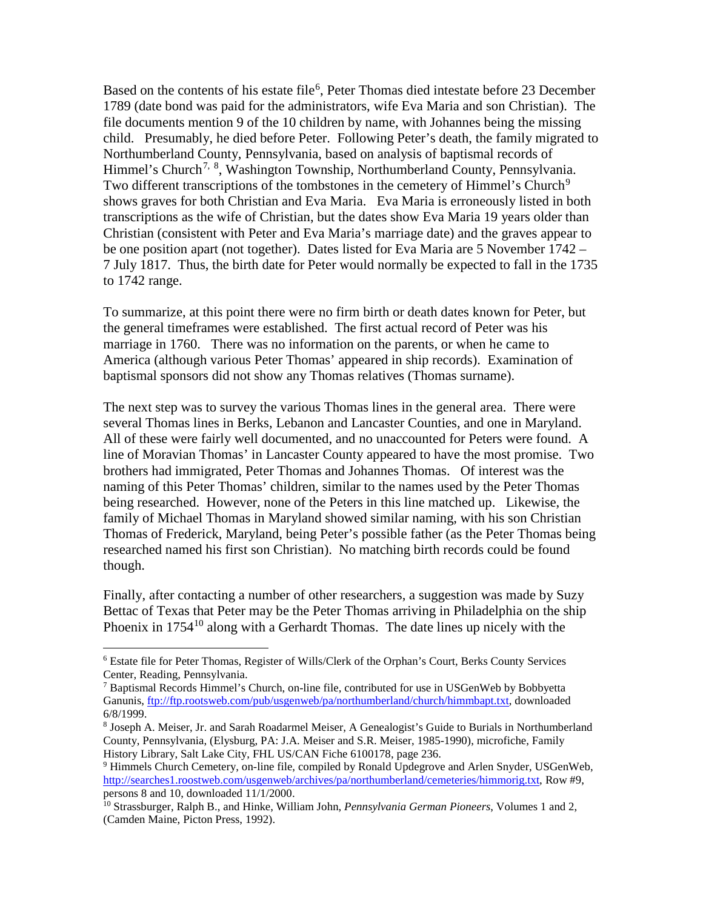Based on the contents of his estate file<sup>[6](#page-1-0)</sup>, Peter Thomas died intestate before 23 December 1789 (date bond was paid for the administrators, wife Eva Maria and son Christian). The file documents mention 9 of the 10 children by name, with Johannes being the missing child. Presumably, he died before Peter. Following Peter's death, the family migrated to Northumberland County, Pennsylvania, based on analysis of baptismal records of Himmel's Church<sup>[7,](#page-1-1) [8](#page-1-2)</sup>, Washington Township, Northumberland County, Pennsylvania. Two different transcriptions of the tombstones in the cemetery of Himmel's Church<sup>[9](#page-1-3)</sup> shows graves for both Christian and Eva Maria. Eva Maria is erroneously listed in both transcriptions as the wife of Christian, but the dates show Eva Maria 19 years older than Christian (consistent with Peter and Eva Maria's marriage date) and the graves appear to be one position apart (not together). Dates listed for Eva Maria are 5 November 1742 – 7 July 1817. Thus, the birth date for Peter would normally be expected to fall in the 1735 to 1742 range.

To summarize, at this point there were no firm birth or death dates known for Peter, but the general timeframes were established. The first actual record of Peter was his marriage in 1760. There was no information on the parents, or when he came to America (although various Peter Thomas' appeared in ship records). Examination of baptismal sponsors did not show any Thomas relatives (Thomas surname).

The next step was to survey the various Thomas lines in the general area. There were several Thomas lines in Berks, Lebanon and Lancaster Counties, and one in Maryland. All of these were fairly well documented, and no unaccounted for Peters were found. A line of Moravian Thomas' in Lancaster County appeared to have the most promise. Two brothers had immigrated, Peter Thomas and Johannes Thomas. Of interest was the naming of this Peter Thomas' children, similar to the names used by the Peter Thomas being researched. However, none of the Peters in this line matched up. Likewise, the family of Michael Thomas in Maryland showed similar naming, with his son Christian Thomas of Frederick, Maryland, being Peter's possible father (as the Peter Thomas being researched named his first son Christian). No matching birth records could be found though.

Finally, after contacting a number of other researchers, a suggestion was made by Suzy Bettac of Texas that Peter may be the Peter Thomas arriving in Philadelphia on the ship Phoenix in  $1754<sup>10</sup>$  $1754<sup>10</sup>$  $1754<sup>10</sup>$  along with a Gerhardt Thomas. The date lines up nicely with the

<span id="page-1-0"></span><sup>6</sup> Estate file for Peter Thomas, Register of Wills/Clerk of the Orphan's Court, Berks County Services Center, Reading, Pennsylvania.

<span id="page-1-1"></span> $<sup>7</sup>$  Baptismal Records Himmel's Church, on-line file, contributed for use in USGenWeb by Bobbyetta</sup> Ganunis, [ftp://ftp.rootsweb.com/pub/usgenweb/pa/northumberland/church/himmbapt.txt,](ftp://ftp.rootsweb.com/pub/usgenweb/pa/northumberland/church/himmbapt.txt) downloaded 6/8/1999.

<span id="page-1-2"></span><sup>8</sup> Joseph A. Meiser, Jr. and Sarah Roadarmel Meiser, A Genealogist's Guide to Burials in Northumberland County, Pennsylvania, (Elysburg, PA: J.A. Meiser and S.R. Meiser, 1985-1990), microfiche, Family History Library, Salt Lake City, FHL US/CAN Fiche 6100178, page 236.

<span id="page-1-3"></span><sup>9</sup> Himmels Church Cemetery, on-line file, compiled by Ronald Updegrove and Arlen Snyder, USGenWeb, [http://searches1.roostweb.com/usgenweb/archives/pa/northumberland/cemeteries/himmorig.txt,](http://searches1.roostweb.com/usgenweb/archives/pa/northumberland/cemeteries/himmorig.txt) Row #9, persons 8 and 10, downloaded 11/1/2000.

<span id="page-1-4"></span><sup>10</sup> Strassburger, Ralph B., and Hinke, William John, *Pennsylvania German Pioneers*, Volumes 1 and 2, (Camden Maine, Picton Press, 1992).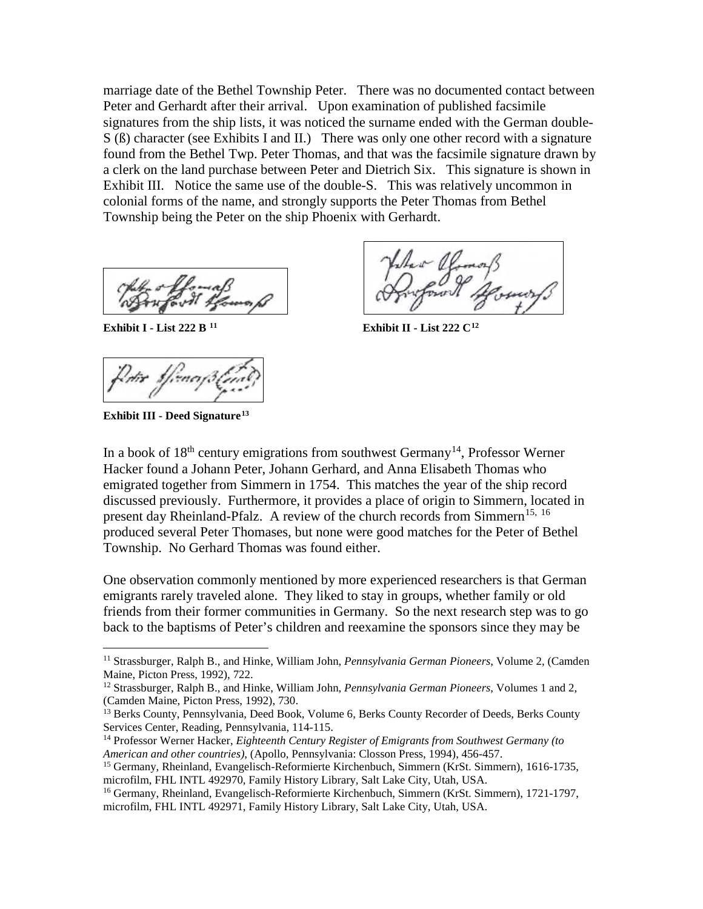marriage date of the Bethel Township Peter. There was no documented contact between Peter and Gerhardt after their arrival. Upon examination of published facsimile signatures from the ship lists, it was noticed the surname ended with the German double-S (ß) character (see Exhibits I and II.) There was only one other record with a signature found from the Bethel Twp. Peter Thomas, and that was the facsimile signature drawn by a clerk on the land purchase between Peter and Dietrich Six. This signature is shown in Exhibit III. Notice the same use of the double-S. This was relatively uncommon in colonial forms of the name, and strongly supports the Peter Thomas from Bethel Township being the Peter on the ship Phoenix with Gerhardt.

**Exhibit III - Deed Signature[13](#page-2-2)**

 $\overline{a}$ 

**Exhibit I - List 222 B** <sup>[11](#page-2-0)</sup> **Exhibit II - List 222** C<sup>[12](#page-2-1)</sup>

In a book of  $18<sup>th</sup>$  century emigrations from southwest Germany<sup>14</sup>, Professor Werner Hacker found a Johann Peter, Johann Gerhard, and Anna Elisabeth Thomas who emigrated together from Simmern in 1754. This matches the year of the ship record discussed previously. Furthermore, it provides a place of origin to Simmern, located in present day Rheinland-Pfalz. A review of the church records from Simmern<sup>[15,](#page-2-4) [16](#page-2-5)</sup> produced several Peter Thomases, but none were good matches for the Peter of Bethel Township. No Gerhard Thomas was found either.

One observation commonly mentioned by more experienced researchers is that German emigrants rarely traveled alone. They liked to stay in groups, whether family or old friends from their former communities in Germany. So the next research step was to go back to the baptisms of Peter's children and reexamine the sponsors since they may be

<span id="page-2-0"></span><sup>11</sup> Strassburger, Ralph B., and Hinke, William John, *Pennsylvania German Pioneers*, Volume 2, (Camden Maine, Picton Press, 1992), 722.

<span id="page-2-1"></span><sup>12</sup> Strassburger, Ralph B., and Hinke, William John, *Pennsylvania German Pioneers*, Volumes 1 and 2, (Camden Maine, Picton Press, 1992), 730.

<span id="page-2-2"></span><sup>&</sup>lt;sup>13</sup> Berks County, Pennsylvania, Deed Book, Volume 6, Berks County Recorder of Deeds, Berks County Services Center, Reading, Pennsylvania, 114-115.

<span id="page-2-3"></span><sup>14</sup> Professor Werner Hacker, *Eighteenth Century Register of Emigrants from Southwest Germany (to American and other countries)*, (Apollo, Pennsylvania: Closson Press, 1994), 456-457.

<span id="page-2-4"></span><sup>15</sup> Germany, Rheinland, Evangelisch-Reformierte Kirchenbuch, Simmern (KrSt. Simmern), 1616-1735, microfilm, FHL INTL 492970, Family History Library, Salt Lake City, Utah, USA.

<span id="page-2-5"></span><sup>16</sup> Germany, Rheinland, Evangelisch-Reformierte Kirchenbuch, Simmern (KrSt. Simmern), 1721-1797, microfilm, FHL INTL 492971, Family History Library, Salt Lake City, Utah, USA.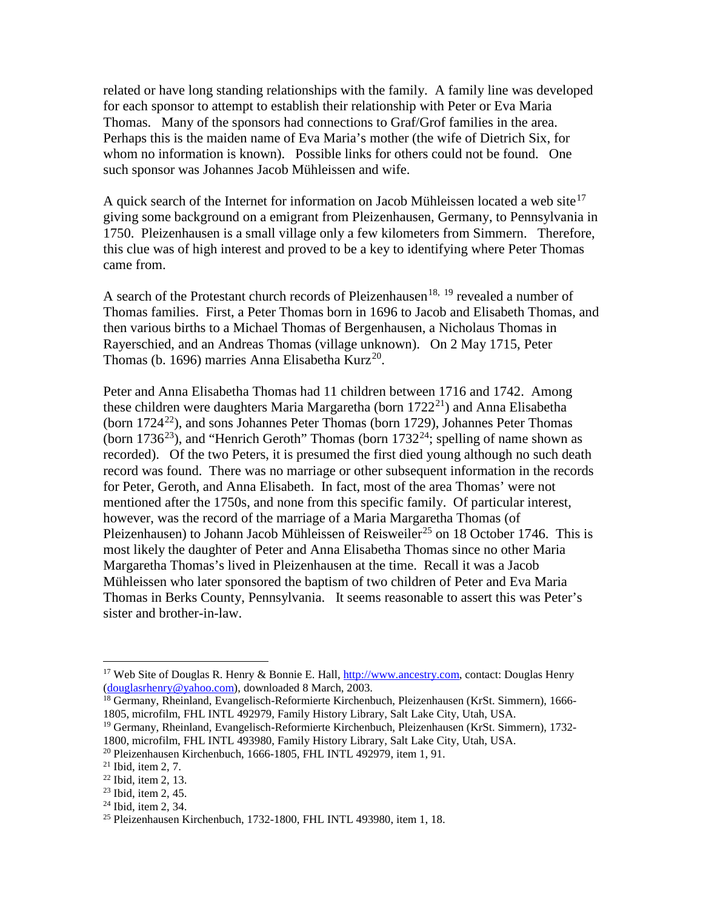related or have long standing relationships with the family. A family line was developed for each sponsor to attempt to establish their relationship with Peter or Eva Maria Thomas. Many of the sponsors had connections to Graf/Grof families in the area. Perhaps this is the maiden name of Eva Maria's mother (the wife of Dietrich Six, for whom no information is known). Possible links for others could not be found. One such sponsor was Johannes Jacob Mühleissen and wife.

A quick search of the Internet for information on Jacob Mühleissen located a web site $17$ giving some background on a emigrant from Pleizenhausen, Germany, to Pennsylvania in 1750. Pleizenhausen is a small village only a few kilometers from Simmern. Therefore, this clue was of high interest and proved to be a key to identifying where Peter Thomas came from.

A search of the Protestant church records of Pleizenhausen<sup>[18](#page-3-1), [19](#page-3-2)</sup> revealed a number of Thomas families. First, a Peter Thomas born in 1696 to Jacob and Elisabeth Thomas, and then various births to a Michael Thomas of Bergenhausen, a Nicholaus Thomas in Rayerschied, and an Andreas Thomas (village unknown). On 2 May 1715, Peter Thomas (b. 1696) marries Anna Elisabetha Kurz<sup>[20](#page-3-3)</sup>.

Peter and Anna Elisabetha Thomas had 11 children between 1716 and 1742. Among these children were daughters Maria Margaretha (born  $1722^{21}$ ) and Anna Elisabetha (born  $1724^{22}$ ), and sons Johannes Peter Thomas (born 1729), Johannes Peter Thomas (born 1736<sup>23</sup>), and "Henrich Geroth" Thomas (born 1732<sup>24</sup>; spelling of name shown as recorded). Of the two Peters, it is presumed the first died young although no such death record was found. There was no marriage or other subsequent information in the records for Peter, Geroth, and Anna Elisabeth. In fact, most of the area Thomas' were not mentioned after the 1750s, and none from this specific family. Of particular interest, however, was the record of the marriage of a Maria Margaretha Thomas (of Pleizenhausen) to Johann Jacob Mühleissen of Reisweiler<sup>[25](#page-3-8)</sup> on 18 October 1746. This is most likely the daughter of Peter and Anna Elisabetha Thomas since no other Maria Margaretha Thomas's lived in Pleizenhausen at the time. Recall it was a Jacob Mühleissen who later sponsored the baptism of two children of Peter and Eva Maria Thomas in Berks County, Pennsylvania. It seems reasonable to assert this was Peter's sister and brother-in-law.

<span id="page-3-1"></span><sup>18</sup> Germany, Rheinland, Evangelisch-Reformierte Kirchenbuch, Pleizenhausen (KrSt. Simmern), 1666- 1805, microfilm, FHL INTL 492979, Family History Library, Salt Lake City, Utah, USA.

<span id="page-3-0"></span><sup>&</sup>lt;sup>17</sup> Web Site of Douglas R. Henry & Bonnie E. Hall, [http://www.ancestry.com,](http://www.ancestry.com/) contact: Douglas Henry [\(douglasrhenry@yahoo.com\)](mailto:douglasrhenry@yahoo.com), downloaded 8 March, 2003.

<span id="page-3-2"></span><sup>19</sup> Germany, Rheinland, Evangelisch-Reformierte Kirchenbuch, Pleizenhausen (KrSt. Simmern), 1732- 1800, microfilm, FHL INTL 493980, Family History Library, Salt Lake City, Utah, USA.

<span id="page-3-3"></span> $20$  Pleizenhausen Kirchenbuch, 1666-1805, FHL INTL 492979, item 1, 91.

<span id="page-3-4"></span> $21$  Ibid, item 2, 7.

<span id="page-3-5"></span><sup>22</sup> Ibid, item 2, 13.

<span id="page-3-6"></span><sup>23</sup> Ibid, item 2, 45.

<span id="page-3-7"></span> $24$  Ibid, item 2, 34.

<span id="page-3-8"></span><sup>25</sup> Pleizenhausen Kirchenbuch, 1732-1800, FHL INTL 493980, item 1, 18.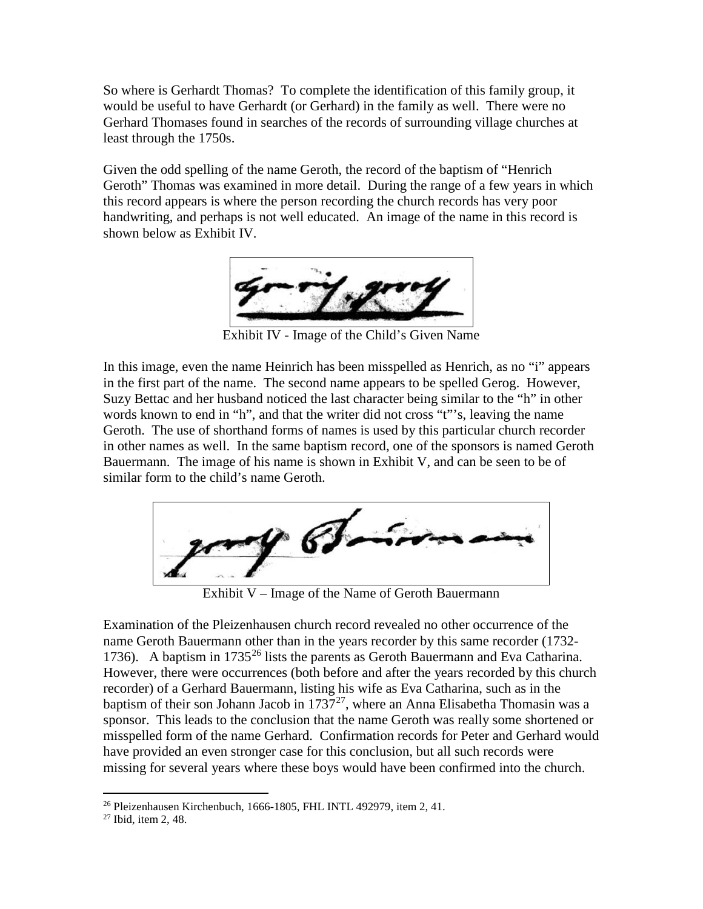So where is Gerhardt Thomas? To complete the identification of this family group, it would be useful to have Gerhardt (or Gerhard) in the family as well. There were no Gerhard Thomases found in searches of the records of surrounding village churches at least through the 1750s.

Given the odd spelling of the name Geroth, the record of the baptism of "Henrich Geroth" Thomas was examined in more detail. During the range of a few years in which this record appears is where the person recording the church records has very poor handwriting, and perhaps is not well educated. An image of the name in this record is shown below as Exhibit IV.



Exhibit IV - Image of the Child's Given Name

In this image, even the name Heinrich has been misspelled as Henrich, as no "i" appears in the first part of the name. The second name appears to be spelled Gerog. However, Suzy Bettac and her husband noticed the last character being similar to the "h" in other words known to end in "h", and that the writer did not cross "t"'s, leaving the name Geroth. The use of shorthand forms of names is used by this particular church recorder in other names as well. In the same baptism record, one of the sponsors is named Geroth Bauermann. The image of his name is shown in Exhibit V, and can be seen to be of similar form to the child's name Geroth.



Exhibit V – Image of the Name of Geroth Bauermann

Examination of the Pleizenhausen church record revealed no other occurrence of the name Geroth Bauermann other than in the years recorder by this same recorder (1732- 1736). A baptism in 1735<sup>[26](#page-4-0)</sup> lists the parents as Geroth Bauermann and Eva Catharina. However, there were occurrences (both before and after the years recorded by this church recorder) of a Gerhard Bauermann, listing his wife as Eva Catharina, such as in the baptism of their son Johann Jacob in  $1737^{27}$ , where an Anna Elisabetha Thomasin was a sponsor. This leads to the conclusion that the name Geroth was really some shortened or misspelled form of the name Gerhard. Confirmation records for Peter and Gerhard would have provided an even stronger case for this conclusion, but all such records were missing for several years where these boys would have been confirmed into the church.

 $26$  Pleizenhausen Kirchenbuch, 1666-1805, FHL INTL 492979, item 2, 41.  $\overline{a}$ 

<span id="page-4-1"></span><span id="page-4-0"></span><sup>27</sup> Ibid, item 2, 48.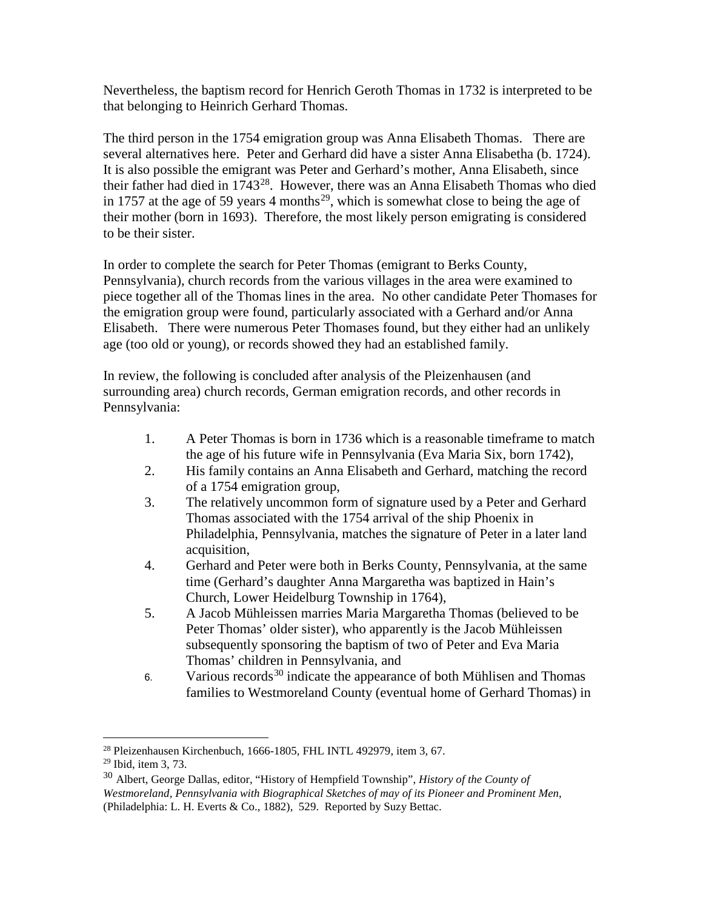Nevertheless, the baptism record for Henrich Geroth Thomas in 1732 is interpreted to be that belonging to Heinrich Gerhard Thomas.

The third person in the 1754 emigration group was Anna Elisabeth Thomas. There are several alternatives here. Peter and Gerhard did have a sister Anna Elisabetha (b. 1724). It is also possible the emigrant was Peter and Gerhard's mother, Anna Elisabeth, since their father had died in  $1743^{28}$ . However, there was an Anna Elisabeth Thomas who died in 1757 at the age of 59 years 4 months<sup>29</sup>, which is somewhat close to being the age of their mother (born in 1693). Therefore, the most likely person emigrating is considered to be their sister.

In order to complete the search for Peter Thomas (emigrant to Berks County, Pennsylvania), church records from the various villages in the area were examined to piece together all of the Thomas lines in the area. No other candidate Peter Thomases for the emigration group were found, particularly associated with a Gerhard and/or Anna Elisabeth. There were numerous Peter Thomases found, but they either had an unlikely age (too old or young), or records showed they had an established family.

In review, the following is concluded after analysis of the Pleizenhausen (and surrounding area) church records, German emigration records, and other records in Pennsylvania:

- 1. A Peter Thomas is born in 1736 which is a reasonable timeframe to match the age of his future wife in Pennsylvania (Eva Maria Six, born 1742),
- 2. His family contains an Anna Elisabeth and Gerhard, matching the record of a 1754 emigration group,
- 3. The relatively uncommon form of signature used by a Peter and Gerhard Thomas associated with the 1754 arrival of the ship Phoenix in Philadelphia, Pennsylvania, matches the signature of Peter in a later land acquisition,
- 4. Gerhard and Peter were both in Berks County, Pennsylvania, at the same time (Gerhard's daughter Anna Margaretha was baptized in Hain's Church, Lower Heidelburg Township in 1764),
- 5. A Jacob Mühleissen marries Maria Margaretha Thomas (believed to be Peter Thomas' older sister), who apparently is the Jacob Mühleissen subsequently sponsoring the baptism of two of Peter and Eva Maria Thomas' children in Pennsylvania, and
- 6. Various records<sup>[30](#page-5-2)</sup> indicate the appearance of both Mühlisen and Thomas families to Westmoreland County (eventual home of Gerhard Thomas) in

 $^{28}$  Pleizenhausen Kirchenbuch, 1666-1805, FHL INTL 492979, item 3, 67.

<span id="page-5-1"></span><span id="page-5-0"></span><sup>29</sup> Ibid, item 3, 73.

<span id="page-5-2"></span><sup>30</sup> Albert, George Dallas, editor, "History of Hempfield Township", *History of the County of Westmoreland, Pennsylvania with Biographical Sketches of may of its Pioneer and Prominent Men*, (Philadelphia: L. H. Everts & Co., 1882), 529. Reported by Suzy Bettac.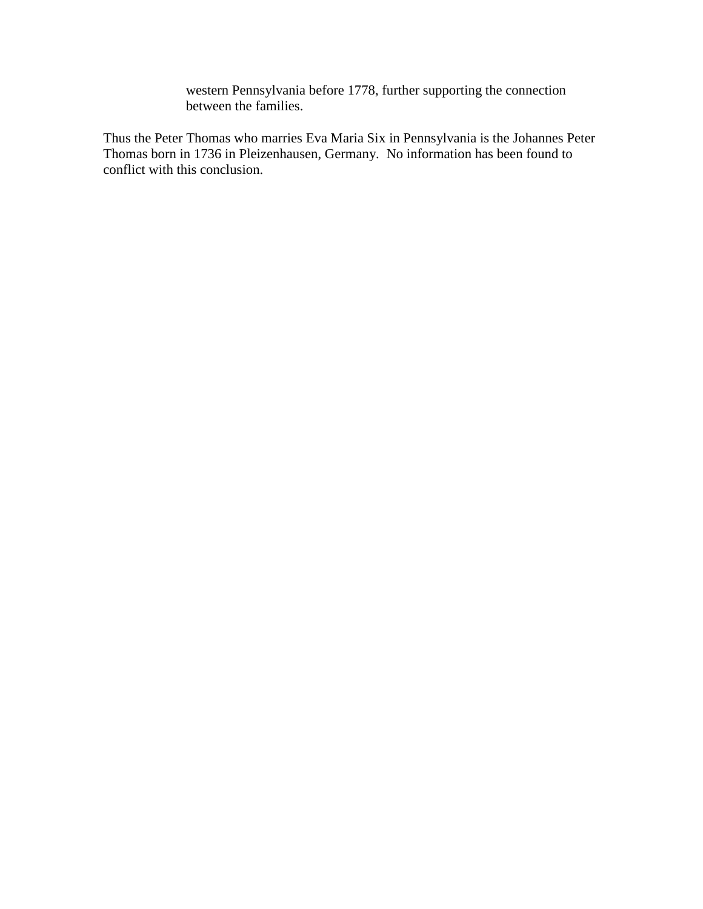western Pennsylvania before 1778, further supporting the connection between the families.

Thus the Peter Thomas who marries Eva Maria Six in Pennsylvania is the Johannes Peter Thomas born in 1736 in Pleizenhausen, Germany. No information has been found to conflict with this conclusion.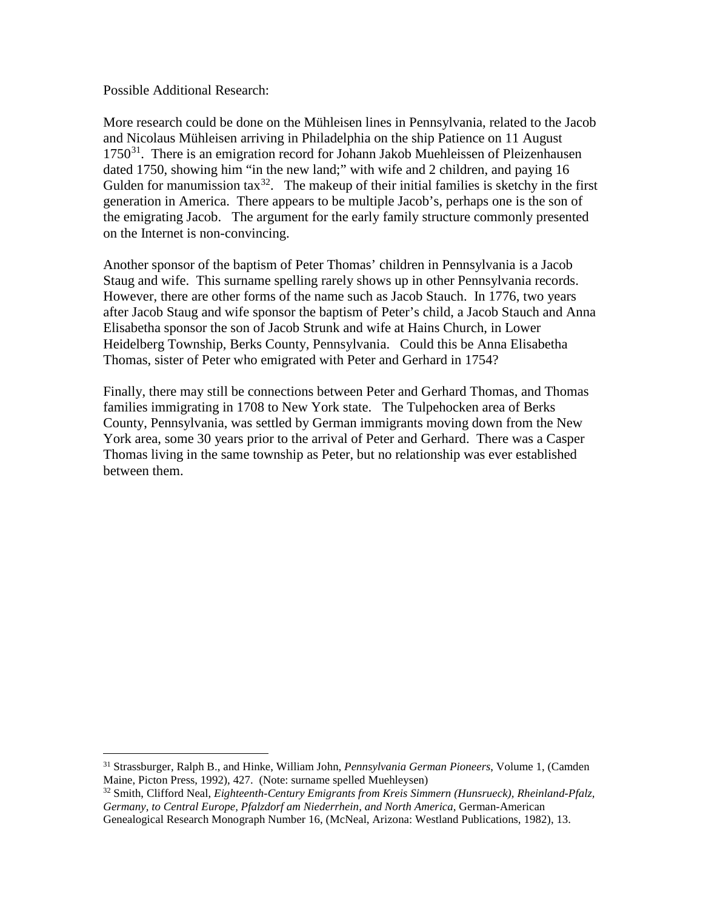Possible Additional Research:

 $\overline{a}$ 

More research could be done on the Mühleisen lines in Pennsylvania, related to the Jacob and Nicolaus Mühleisen arriving in Philadelphia on the ship Patience on 11 August  $1750<sup>31</sup>$ . There is an emigration record for Johann Jakob Muehleissen of Pleizenhausen dated 1750, showing him "in the new land;" with wife and 2 children, and paying 16 Gulden for manumission tax<sup>32</sup>. The makeup of their initial families is sketchy in the first generation in America. There appears to be multiple Jacob's, perhaps one is the son of the emigrating Jacob. The argument for the early family structure commonly presented on the Internet is non-convincing.

Another sponsor of the baptism of Peter Thomas' children in Pennsylvania is a Jacob Staug and wife. This surname spelling rarely shows up in other Pennsylvania records. However, there are other forms of the name such as Jacob Stauch. In 1776, two years after Jacob Staug and wife sponsor the baptism of Peter's child, a Jacob Stauch and Anna Elisabetha sponsor the son of Jacob Strunk and wife at Hains Church, in Lower Heidelberg Township, Berks County, Pennsylvania. Could this be Anna Elisabetha Thomas, sister of Peter who emigrated with Peter and Gerhard in 1754?

Finally, there may still be connections between Peter and Gerhard Thomas, and Thomas families immigrating in 1708 to New York state. The Tulpehocken area of Berks County, Pennsylvania, was settled by German immigrants moving down from the New York area, some 30 years prior to the arrival of Peter and Gerhard. There was a Casper Thomas living in the same township as Peter, but no relationship was ever established between them.

<span id="page-7-0"></span><sup>31</sup> Strassburger, Ralph B., and Hinke, William John, *Pennsylvania German Pioneers*, Volume 1, (Camden Maine, Picton Press, 1992), 427. (Note: surname spelled Muehleysen)

<span id="page-7-1"></span><sup>32</sup> Smith, Clifford Neal, *Eighteenth-Century Emigrants from Kreis Simmern (Hunsrueck), Rheinland-Pfalz, Germany, to Central Europe, Pfalzdorf am Niederrhein, and North America*, German-American Genealogical Research Monograph Number 16, (McNeal, Arizona: Westland Publications, 1982), 13.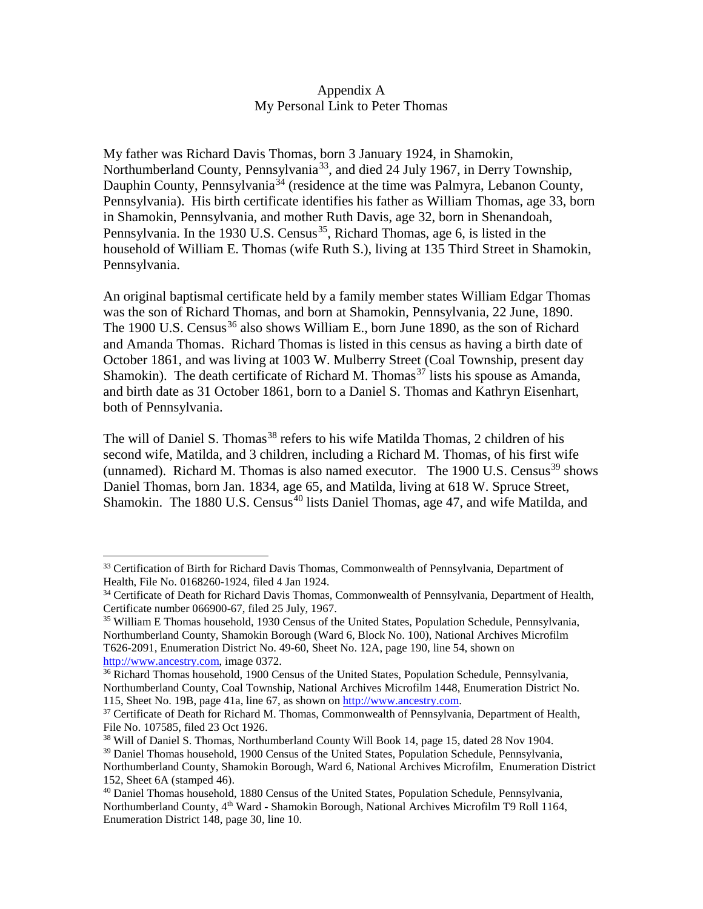## Appendix A My Personal Link to Peter Thomas

My father was Richard Davis Thomas, born 3 January 1924, in Shamokin, Northumberland County, Pennsylvania<sup>[33](#page-8-0)</sup>, and died 24 July 1967, in Derry Township, Dauphin County, Pennsylvania<sup>[34](#page-8-1)</sup> (residence at the time was Palmyra, Lebanon County, Pennsylvania). His birth certificate identifies his father as William Thomas, age 33, born in Shamokin, Pennsylvania, and mother Ruth Davis, age 32, born in Shenandoah, Pennsylvania. In the 1930 U.S. Census<sup>[35](#page-8-2)</sup>, Richard Thomas, age 6, is listed in the household of William E. Thomas (wife Ruth S.), living at 135 Third Street in Shamokin, Pennsylvania.

An original baptismal certificate held by a family member states William Edgar Thomas was the son of Richard Thomas, and born at Shamokin, Pennsylvania, 22 June, 1890. The 1900 U.S. Census<sup>[36](#page-8-3)</sup> also shows William E., born June 1890, as the son of Richard and Amanda Thomas. Richard Thomas is listed in this census as having a birth date of October 1861, and was living at 1003 W. Mulberry Street (Coal Township, present day Shamokin). The death certificate of Richard M. Thomas<sup>[37](#page-8-4)</sup> lists his spouse as Amanda, and birth date as 31 October 1861, born to a Daniel S. Thomas and Kathryn Eisenhart, both of Pennsylvania.

The will of Daniel S. Thomas<sup>[38](#page-8-5)</sup> refers to his wife Matilda Thomas, 2 children of his second wife, Matilda, and 3 children, including a Richard M. Thomas, of his first wife (unnamed). Richard M. Thomas is also named executor. The  $1900$  U.S. Census<sup>[39](#page-8-6)</sup> shows Daniel Thomas, born Jan. 1834, age 65, and Matilda, living at 618 W. Spruce Street, Shamokin. The 1880 U.S. Census<sup>[40](#page-8-7)</sup> lists Daniel Thomas, age 47, and wife Matilda, and

<span id="page-8-0"></span><sup>&</sup>lt;sup>33</sup> Certification of Birth for Richard Davis Thomas, Commonwealth of Pennsylvania, Department of Health, File No. 0168260-1924, filed 4 Jan 1924.

<span id="page-8-1"></span><sup>&</sup>lt;sup>34</sup> Certificate of Death for Richard Davis Thomas, Commonwealth of Pennsylvania, Department of Health, Certificate number 066900-67, filed 25 July, 1967.

<span id="page-8-2"></span><sup>35</sup> William E Thomas household, 1930 Census of the United States, Population Schedule, Pennsylvania, Northumberland County, Shamokin Borough (Ward 6, Block No. 100), National Archives Microfilm T626-2091, Enumeration District No. 49-60, Sheet No. 12A, page 190, line 54, shown on [http://www.ancestry.com,](http://www.ancestry.com/) image 0372.

<span id="page-8-3"></span><sup>&</sup>lt;sup>36</sup> Richard Thomas household, 1900 Census of the United States, Population Schedule, Pennsylvania, Northumberland County, Coal Township, National Archives Microfilm 1448, Enumeration District No. 115, Sheet No. 19B, page 41a, line 67, as shown on [http://www.ancestry.com.](http://www.ancestry.com/)

<span id="page-8-4"></span><sup>&</sup>lt;sup>37</sup> Certificate of Death for Richard M. Thomas, Commonwealth of Pennsylvania, Department of Health, File No. 107585, filed 23 Oct 1926.

<span id="page-8-5"></span><sup>38</sup> Will of Daniel S. Thomas, Northumberland County Will Book 14, page 15, dated 28 Nov 1904.

<span id="page-8-6"></span><sup>39</sup> Daniel Thomas household, 1900 Census of the United States, Population Schedule, Pennsylvania, Northumberland County, Shamokin Borough, Ward 6, National Archives Microfilm, Enumeration District 152, Sheet 6A (stamped 46).

<span id="page-8-7"></span><sup>40</sup> Daniel Thomas household, 1880 Census of the United States, Population Schedule, Pennsylvania, Northumberland County, 4<sup>th</sup> Ward - Shamokin Borough, National Archives Microfilm T9 Roll 1164, Enumeration District 148, page 30, line 10.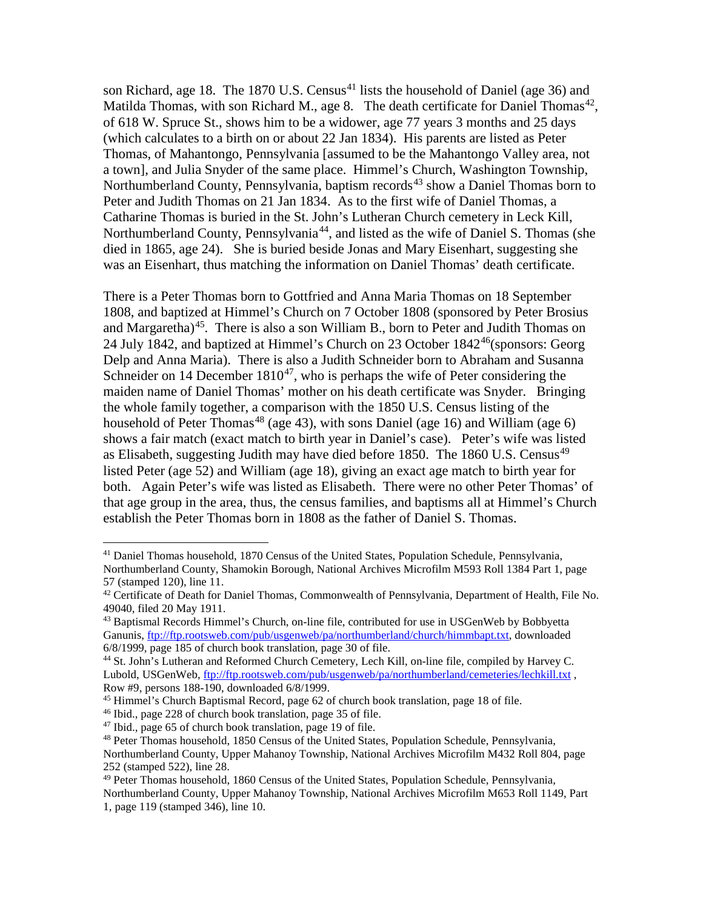son Richard, age 18. The 1870 U.S. Census<sup>[41](#page-9-0)</sup> lists the household of Daniel (age 36) and Matilda Thomas, with son Richard M., age 8. The death certificate for Daniel Thomas<sup>[42](#page-9-1)</sup>, of 618 W. Spruce St., shows him to be a widower, age 77 years 3 months and 25 days (which calculates to a birth on or about 22 Jan 1834). His parents are listed as Peter Thomas, of Mahantongo, Pennsylvania [assumed to be the Mahantongo Valley area, not a town], and Julia Snyder of the same place. Himmel's Church, Washington Township, Northumberland County, Pennsylvania, baptism records<sup>[43](#page-9-2)</sup> show a Daniel Thomas born to Peter and Judith Thomas on 21 Jan 1834. As to the first wife of Daniel Thomas, a Catharine Thomas is buried in the St. John's Lutheran Church cemetery in Leck Kill, Northumberland County, Pennsylvania<sup>[44](#page-9-3)</sup>, and listed as the wife of Daniel S. Thomas (she died in 1865, age 24). She is buried beside Jonas and Mary Eisenhart, suggesting she was an Eisenhart, thus matching the information on Daniel Thomas' death certificate.

There is a Peter Thomas born to Gottfried and Anna Maria Thomas on 18 September 1808, and baptized at Himmel's Church on 7 October 1808 (sponsored by Peter Brosius and Margaretha)<sup>[45](#page-9-4)</sup>. There is also a son William B., born to Peter and Judith Thomas on 24 July 1842, and baptized at Himmel's Church on 23 October  $1842^{46}$  $1842^{46}$  $1842^{46}$  (sponsors: Georg Delp and Anna Maria). There is also a Judith Schneider born to Abraham and Susanna Schneider on 14 December  $1810^{47}$ , who is perhaps the wife of Peter considering the maiden name of Daniel Thomas' mother on his death certificate was Snyder. Bringing the whole family together, a comparison with the 1850 U.S. Census listing of the household of Peter Thomas<sup>[48](#page-9-7)</sup> (age 43), with sons Daniel (age 16) and William (age 6) shows a fair match (exact match to birth year in Daniel's case). Peter's wife was listed as Elisabeth, suggesting Judith may have died before 1850. The 1860 U.S. Census<sup>[49](#page-9-8)</sup> listed Peter (age 52) and William (age 18), giving an exact age match to birth year for both. Again Peter's wife was listed as Elisabeth. There were no other Peter Thomas' of that age group in the area, thus, the census families, and baptisms all at Himmel's Church establish the Peter Thomas born in 1808 as the father of Daniel S. Thomas.

<span id="page-9-0"></span><sup>41</sup> Daniel Thomas household, 1870 Census of the United States, Population Schedule, Pennsylvania, Northumberland County, Shamokin Borough, National Archives Microfilm M593 Roll 1384 Part 1, page 57 (stamped 120), line 11.

<span id="page-9-1"></span> $42$  Certificate of Death for Daniel Thomas, Commonwealth of Pennsylvania, Department of Health, File No. 49040, filed 20 May 1911.

<span id="page-9-2"></span><sup>&</sup>lt;sup>43</sup> Baptismal Records Himmel's Church, on-line file, contributed for use in USGenWeb by Bobbyetta Ganunis, [ftp://ftp.rootsweb.com/pub/usgenweb/pa/northumberland/church/himmbapt.txt,](ftp://ftp.rootsweb.com/pub/usgenweb/pa/northumberland/church/himmbapt.txt) downloaded 6/8/1999, page 185 of church book translation, page 30 of file.

<span id="page-9-3"></span><sup>44</sup> St. John's Lutheran and Reformed Church Cemetery, Lech Kill, on-line file, compiled by Harvey C. Lubold, USGenWeb,<ftp://ftp.rootsweb.com/pub/usgenweb/pa/northumberland/cemeteries/lechkill.txt>. Row #9, persons 188-190, downloaded 6/8/1999.

<sup>45</sup> Himmel's Church Baptismal Record, page 62 of church book translation, page 18 of file.

<span id="page-9-5"></span><span id="page-9-4"></span><sup>46</sup> Ibid., page 228 of church book translation, page 35 of file.

<span id="page-9-6"></span> $47$  Ibid., page 65 of church book translation, page 19 of file.

<span id="page-9-7"></span><sup>48</sup> Peter Thomas household, 1850 Census of the United States, Population Schedule, Pennsylvania, Northumberland County, Upper Mahanoy Township, National Archives Microfilm M432 Roll 804, page 252 (stamped 522), line 28.

<span id="page-9-8"></span><sup>49</sup> Peter Thomas household, 1860 Census of the United States, Population Schedule, Pennsylvania,

Northumberland County, Upper Mahanoy Township, National Archives Microfilm M653 Roll 1149, Part 1, page 119 (stamped 346), line 10.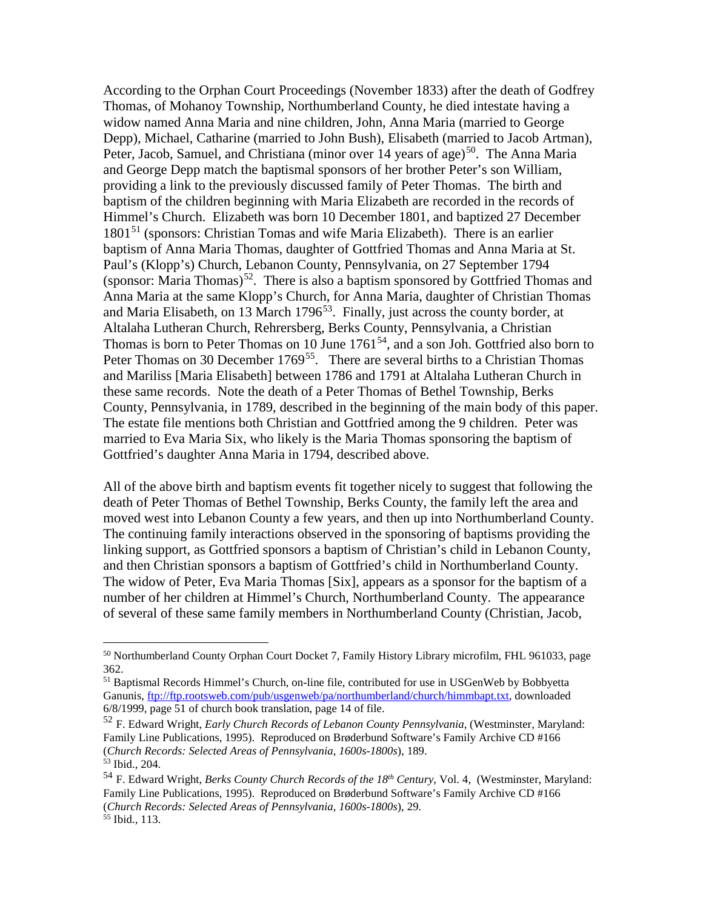According to the Orphan Court Proceedings (November 1833) after the death of Godfrey Thomas, of Mohanoy Township, Northumberland County, he died intestate having a widow named Anna Maria and nine children, John, Anna Maria (married to George Depp), Michael, Catharine (married to John Bush), Elisabeth (married to Jacob Artman), Peter, Jacob, Samuel, and Christiana (minor over 14 years of age)<sup>[50](#page-10-0)</sup>. The Anna Maria and George Depp match the baptismal sponsors of her brother Peter's son William, providing a link to the previously discussed family of Peter Thomas. The birth and baptism of the children beginning with Maria Elizabeth are recorded in the records of Himmel's Church. Elizabeth was born 10 December 1801, and baptized 27 December 1801[51](#page-10-1) (sponsors: Christian Tomas and wife Maria Elizabeth). There is an earlier baptism of Anna Maria Thomas, daughter of Gottfried Thomas and Anna Maria at St. Paul's (Klopp's) Church, Lebanon County, Pennsylvania, on 27 September 1794 (sponsor: Maria Thomas)<sup>52</sup>. There is also a baptism sponsored by Gottfried Thomas and Anna Maria at the same Klopp's Church, for Anna Maria, daughter of Christian Thomas and Maria Elisabeth, on 13 March 1796<sup>53</sup>. Finally, just across the county border, at Altalaha Lutheran Church, Rehrersberg, Berks County, Pennsylvania, a Christian Thomas is born to Peter Thomas on 10 June  $1761<sup>54</sup>$ , and a son Joh. Gottfried also born to Peter Thomas on 30 December 1769<sup>[55](#page-10-5)</sup>. There are several births to a Christian Thomas and Mariliss [Maria Elisabeth] between 1786 and 1791 at Altalaha Lutheran Church in these same records. Note the death of a Peter Thomas of Bethel Township, Berks County, Pennsylvania, in 1789, described in the beginning of the main body of this paper. The estate file mentions both Christian and Gottfried among the 9 children. Peter was married to Eva Maria Six, who likely is the Maria Thomas sponsoring the baptism of Gottfried's daughter Anna Maria in 1794, described above.

All of the above birth and baptism events fit together nicely to suggest that following the death of Peter Thomas of Bethel Township, Berks County, the family left the area and moved west into Lebanon County a few years, and then up into Northumberland County. The continuing family interactions observed in the sponsoring of baptisms providing the linking support, as Gottfried sponsors a baptism of Christian's child in Lebanon County, and then Christian sponsors a baptism of Gottfried's child in Northumberland County. The widow of Peter, Eva Maria Thomas [Six], appears as a sponsor for the baptism of a number of her children at Himmel's Church, Northumberland County. The appearance of several of these same family members in Northumberland County (Christian, Jacob,

<span id="page-10-0"></span><sup>&</sup>lt;sup>50</sup> Northumberland County Orphan Court Docket 7, Family History Library microfilm, FHL 961033, page 362.

<span id="page-10-1"></span><sup>&</sup>lt;sup>51</sup> Baptismal Records Himmel's Church, on-line file, contributed for use in USGenWeb by Bobbyetta Ganunis, [ftp://ftp.rootsweb.com/pub/usgenweb/pa/northumberland/church/himmbapt.txt,](ftp://ftp.rootsweb.com/pub/usgenweb/pa/northumberland/church/himmbapt.txt) downloaded 6/8/1999, page 51 of church book translation, page 14 of file.

<span id="page-10-2"></span><sup>52</sup> F. Edward Wright, *Early Church Records of Lebanon County Pennsylvania*, (Westminster, Maryland: Family Line Publications, 1995). Reproduced on Brøderbund Software's Family Archive CD #166 (*Church Records: Selected Areas of Pennsylvania, 1600s-1800s*), 189. <sup>53</sup> Ibid., 204.

<span id="page-10-5"></span><span id="page-10-4"></span><span id="page-10-3"></span><sup>54</sup> F. Edward Wright, *Berks County Church Records of the 18th Century*, Vol. 4, (Westminster, Maryland: Family Line Publications, 1995). Reproduced on Brøderbund Software's Family Archive CD #166 (*Church Records: Selected Areas of Pennsylvania, 1600s-1800s*), 29. <sup>55</sup> Ibid., 113.